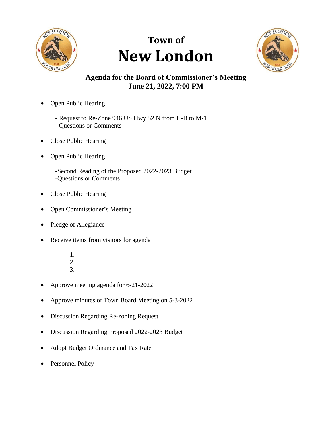

## **Town of New London**



## **Agenda for the Board of Commissioner's Meeting June 21, 2022, 7:00 PM**

- Open Public Hearing
	- Request to Re-Zone 946 US Hwy 52 N from H-B to M-1
	- Questions or Comments
- Close Public Hearing
- Open Public Hearing
	- -Second Reading of the Proposed 2022-2023 Budget -Questions or Comments
- Close Public Hearing
- Open Commissioner's Meeting
- Pledge of Allegiance
- Receive items from visitors for agenda
	- 1. 2. 3.
- Approve meeting agenda for 6-21-2022
- Approve minutes of Town Board Meeting on 5-3-2022
- Discussion Regarding Re-zoning Request
- Discussion Regarding Proposed 2022-2023 Budget
- Adopt Budget Ordinance and Tax Rate
- Personnel Policy